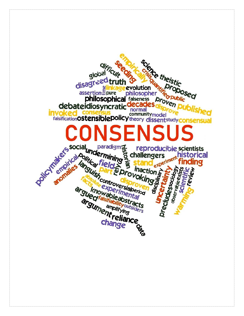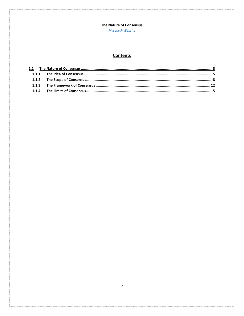**Mysearch Website** 

# **Contents**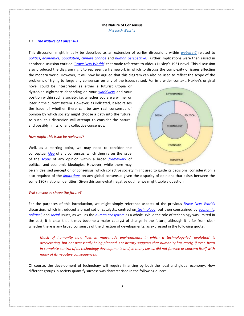*[Mysearch Website](http://www.mysearch.org.uk/index.html)*

## <span id="page-2-0"></span>**1.1** *[The Nature of Consensus](http://www.mysearch.org.uk/website2/html/262.Consensus.html)*

This discussion might initially be described as an extension of earlier discussions within *[website-2](http://www.mysearch.org.uk/website2/html/1.Home.html)* related to *[politics](http://www.mysearch.org.uk/website2/html/5.Politics-1.html)*, *[economics](http://www.mysearch.org.uk/website2/html/125.Economics2.html)*, *[population](http://www.mysearch.org.uk/website2/html/8.Population.html)*, *[climate change](http://www.mysearch.org.uk/website2/html/145.Climate.html)* and *[human perspective](file:///C:/Users/Keith/Desktop/My%20Files/My_Webs/0_Sites/0-New%20Site/1-Development/19-05-26/website2/html/246.Beliefs.html)*. Further implications were then raised in another discussion entitled '*[Brave New Worlds](http://www.mysearch.org.uk/website2/html/146.NuWorlds.html)*' that made reference to Aldous Huxley's 1931 novel. This discussion also produced the diagram right to represent a framework in which to discuss the complexity of issues affecting the modern world. However, it will now be argued that this diagram can also be used to reflect the scope of the problems of trying to forge any consensus on any of the issues raised. For in a wider context, Huxley's original

novel could be interpreted as either a futurist utopia or dystopian nightmare depending on your *[worldview](http://www.mysearch.org.uk/website1/html/5.Worldviews.html)* and your position within such a society, i.e. whether you are a winner or loser in the current system. However, as indicated, it also raises the issue of whether there can be any real consensus of opinion by which society might choose a path into the future. As such, this discussion will attempt to consider the nature, and possibly limits, of any collective consensus.

#### *How might this issue be reviewed?*

Well, as a starting point, we may need to consider the conceptual *[idea](#page-4-1)* of any consensus, which then raises the issue of the *[scope](#page-7-1)* of any opinion within a broad *[framework](#page-11-1)* of political and economic ideologies. However, while there may



be an idealised perception of consensus, which collective society might used to guide its decisions; consideration is also required of the *[limitations](#page-13-0)* on any global consensus given the disparity of opinions that exists between the some 190+ national identities. Given this somewhat negative outline, we might table a question.

### *Will consensus shape the future?*

For the purposes of this introduction, we might simply reference aspects of the previous *[Brave New Worlds](http://www.mysearch.org.uk/website2/html/146.NuWorlds.html)* discussion, which introduced a broad set of catalysts, centred on *[technology](http://www.mysearch.org.uk/website2/html/186.Technology.html)*, but then constrained by *[economic](http://www.mysearch.org.uk/website2/html/187.Economics.html)*, *[political](http://www.mysearch.org.uk/website2/html/188.Politics.html)*, and *[social](http://www.mysearch.org.uk/website2/html/189.Social.html)* issues, as well as the *[human ecosystem](http://www.mysearch.org.uk/website2/html/190.Ecosystems.html)* as a whole. While the role of technology was limited in the past, it is clear that it may become a major catalyst of change in the future, although it is far from clear whether there is any broad consensus of the direction of developments, as expressed in the following quote:

*Much of humanity now lives in man-made environments in which a technology-led 'evolution' is accelerating, but not necessarily being planned. For history suggests that humanity has rarely, if ever, been in complete control of its technology developments and, in many cases, did not foresee or concern itself with many of its negative consequences.*

Of course, the development of technology will require financing by both the local and global economy. How different groups in society quantify success was characterised in the following quote: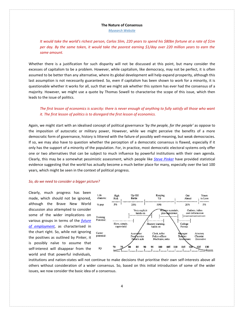*[Mysearch Website](http://www.mysearch.org.uk/index.html)*

*It would take the world's richest person, Carlos Slim, 220 years to spend his \$80bn fortune at a rate of \$1m per day. By the same token, it would take the poorest earning \$1/day over 220 million years to earn the same amount.*

Whether there is a justification for such disparity will not be discussed at this point, but many consider the excesses of capitalism to be a problem. However, while capitalism, like democracy, may not be perfect, it is often assumed to be better than any alternative, where its global development will help expand prosperity, although this last assumption is not necessarily guaranteed. So, even if capitalism has been shown to work for a minority, it is questionable whether it works for all, such that we might ask whether this system has ever had the consensus of a majority. However, we might use a quote by Thomas Sowell to characterise the scope of this issue, which then leads to the issue of politics.

## *The first lesson of economics is scarcity: there is never enough of anything to fully satisfy all those who want it. The first lesson of politics is to disregard the first lesson of economics.*

Again, we might start with an idealised concept of political governance '*by the people, for the people'* as oppose to the imposition of autocratic or military power, However, while we might perceive the benefits of a more democratic form of governance, history is littered with the failure of possibly well-meaning, but weak democracies. If so, we may also have to question whether the perception of a democratic consensus is flawed, especially if it only has the support of a minority of the population. For, in practice, most democratic electoral systems only offer one or two alternatives that can be subject to much influence by powerful institutions with their own agenda. Clearly, this may be a somewhat pessimistic assessment, which people like *[Steve Pinker](https://en.wikipedia.org/wiki/Steven_Pinker)* have provided statistical evidence suggesting that the world has actually become a much better place for many, especially over the last 100 years, which might be seen in the context of political progress.

## *So, do we need to consider a bigger picture?*

Clearly, much progress has been made, which should not be ignored, although the Brave New World discussion also attempted to consider some of the wider implications on various groups in terms of the *[future](http://www.mysearch.org.uk/website2/html/187.Economics.html)  [of employment](http://www.mysearch.org.uk/website2/html/187.Economics.html)*, as characterised in the chart right. So, while not ignoring the positives as outlined by Pinker, it is possibly naïve to assume that self-interest will disappear from the world and that powerful individuals,



institutions and nation-states will not continue to make decisions that prioritise their own self-interests above all others without consideration of a wider consensus. So, based on this initial introduction of some of the wider issues, we now consider the basic idea of a consensus.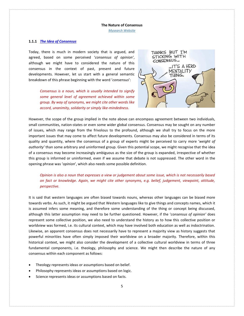*[Mysearch Website](http://www.mysearch.org.uk/index.html)*

## <span id="page-4-1"></span><span id="page-4-0"></span>**1.1.1** *[The Idea of Consensus](http://www.mysearch.org.uk/website2/html/263.Idea.html)*

Today, there is much in modern society that is argued, and agreed, based on some perceived '*consensus of opinion'*, although we might have to considered the nature of this consensus in the context of past, present and future developments. However, let us start with a general semantic breakdown of this phrase beginning with the word '*consensus*':

> *Consensus is a noun, which is usually intended to signify some general level of agreement achieved within some group. By way of synonyms, we might cite other words like accord, unanimity, solidarity or simply like-mindedness.*



However, the scope of the group implied in the note above can encompass agreement between two individuals, small communities, nation-states or even some wider global consensus. Consensus may be sought on any number of issues, which may range from the frivolous to the profound, although we shall try to focus on the more important issues that may come to affect future developments. Consensus may also be considered in terms of its quality and quantity, where the consensus of a group of experts might be perceived to carry more '*weight of authority'* than some arbitrary and uninformed group. Given this potential scope, we might recognise that the idea of a consensus may become increasingly ambiguous as the size of the group is expanded, irrespective of whether this group is informed or uninformed, even if we assume that debate is not suppressed. The other word in the opening phrase was '*opinion*', which also needs some possible definition.

*Opinion is also a noun that expresses a view or judgement about some issue, which is not necessarily based on fact or knowledge. Again, we might cite other synonyms, e.g. belief, judgement, viewpoint, attitude, perspective.* 

It is said that western languages are often biased towards nouns, whereas other languages can be biased more towards verbs. As such, it might be argued that Western languages like to give things and concepts names, which it is assumed infers some meaning, and therefore some understanding of the thing or concept being discussed, although this latter assumption may need to be further questioned. However, if the '*consensus of opinion'* does represent some collective position, we also need to understand the history as to how this collective position or worldview was formed, i.e. its cultural context, which may have involved both education as well as indoctrination. Likewise, an apparent consensus does not necessarily have to represent a majority view as history suggests that powerful minorities have often simply imposed their worldview on a broader majority. Therefore, within this historical context, we might also consider the development of a collective cultural worldview in terms of three fundamental components, i.e. theology, philosophy and science. We might then describe the nature of any consensus within each component as follows:

- Theology represents ideas or assumptions based on belief.
- Philosophy represents ideas or assumptions based on logic.
- Science represents ideas or assumptions based on facts.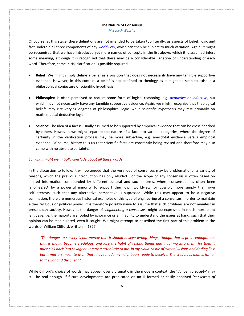*[Mysearch Website](http://www.mysearch.org.uk/index.html)*

Of course, at this stage, these definitions are not intended to be taken too literally, as aspects of belief, logic and fact underpin all three components of any *[worldview](http://www.mysearch.org.uk/website1/html/5.Worldviews.html)*, which can then be subject to much variation. Again, it might be recognised that we have introduced yet more names of concepts in the list above, which it is assumed infers some meaning, although it is recognised that there may be a considerable variation of understanding of each word. Therefore, some initial clarification is possibly required.

- **Belief:** We might simply define a belief as a position that does not necessarily have any tangible supportive evidence. However, in this context, a belief is not confined to theology as it might be seen to exist in a philosophical conjecture or scientific hypothesis.
- **Philosophy:** Is often perceived to require some form of logical reasoning, e.g. *[deductive](https://en.wikipedia.org/wiki/Deductive_reasoning)* or *[inductive](https://en.wikipedia.org/wiki/Inductive_reasoning)*, but which may not necessarily have any tangible supportive evidence. Again, we might recognise that theological beliefs may cite varying degrees of philosophical logic, while scientific hypothesis may rest primarily on mathematical deductive logic.
- **Science:** The idea of a fact is usually assumed to be supported by empirical evidence that can be cross-checked by others. However, we might separate the nature of a fact into various categories, where the degree of certainty in the verification process may be more subjective, e.g. anecdotal evidence versus empirical evidence. Of course, history tells us that scientific facts are constantly being revised and therefore may also come with no absolute certainty.

### *So, what might we initially conclude about all these words?*

In the discussion to follow, it will be argued that the very idea of consensus may be problematic for a variety of reasons, which the previous introduction has only alluded. For the scope of any consensus is often based on limited information compounded by different cultural and social norms, where consensus has often been '*engineered*' by a powerful minority to support their own worldview, or possibly more simply their own self-interests, such that any alternative perspective is supressed. While this may appear to be a negative summation, there are numerous historical examples of this type of engineering of a consensus in order to maintain either religious or political power. It is therefore possibly naïve to assume that such problems are not manifest in present-day society. However, the danger of '*engineering a consensus*' might be expressed in much more blunt language, i.e. the majority are fooled by ignorance or an inability to understand the issues at hand, such that their opinion can be manipulated, even if sought. We might attempt to described the first part of this problem in the words of William Clifford, written in 1877.

*"The danger to society is not merely that it should believe wrong things, though that is great enough; but that it should become credulous, and lose the habit of testing things and inquiring into them, for then it must sink back into savagery. It may matter little to me, in my cloud-castle of sweet illusions and darling lies; but it matters much to Man that I have made my neighbours ready to deceive. The credulous man is father to the liar and the cheat."*

While Clifford's choice of words may appear overly dramatic in the modern context, the '*danger to society'* may still be real enough, if future developments are predicated on an ill-formed or easily deceived '*consensus of*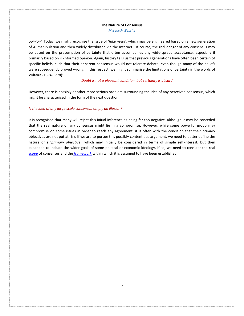*[Mysearch Website](http://www.mysearch.org.uk/index.html)*

*opinion'.* Today, we might recognise the issue of *'fake news'*, which may be engineered based on a new generation of AI manipulation and then widely distributed via the Internet. Of course, the real danger of any consensus may be based on the presumption of certainty that often accompanies any wide-spread acceptance, especially if primarily based on ill-informed opinion. Again, history tells us that previous generations have often been certain of specific beliefs, such that their apparent consensus would not tolerate debate, even though many of the beliefs were subsequently proved wrong. In this respect, we might summarise the limitations of certainty in the words of Voltaire (1694-1778):

## *Doubt is not a pleasant condition, but certainty is absurd.*

However, there is possibly another more serious problem surrounding the idea of any perceived consensus, which might be characterised in the form of the next question.

## *Is the idea of any large-scale consensus simply an illusion?*

It is recognised that many will reject this initial inference as being far too negative, although it may be conceded that the real nature of any consensus might lie in a compromise. However, while some powerful group may compromise on some issues in order to reach any agreement, it is often with the condition that their primary objectives are not put at risk. If we are to pursue this possibly contentious argument, we need to better define the nature of a '*primary objective'*, which may initially be considered in terms of simple self-interest, but then expanded to include the wider goals of some political or economic ideology. If so, we need to consider the real *[scope](#page-7-1)* of consensus and the *[framework](#page-11-1)* within which it is assumed to have been established.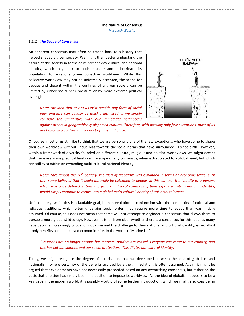*[Mysearch Website](http://www.mysearch.org.uk/index.html)*

## <span id="page-7-1"></span><span id="page-7-0"></span>**1.1.2** *The Scope [of Consensus](http://www.mysearch.org.uk/website2/html/264.Scope.html)*

An apparent consensus may often be traced back to a history that helped shaped a given society. We might then better understand the nature of this society in terms of its present-day cultural and national identity, which may seek to both educate and indoctrinate its population to accept a given collective worldview. While this collective worldview may not be universally accepted, the scope for debate and dissent within the confines of a given society can be limited by either social peer pressure or by more extreme political oversight.



*Note: The idea that any of us exist outside any form of social peer pressure can usually be quickly dismissed, if we simply compare the similarities with our immediate neighbours* 

*against others in geographically dispersed cultures. Therefore, with possibly only few exceptions, most of us are basically a conformant product of time and place.*

Of course, most of us still like to think that we are personally one of the few exceptions, who have come to shape their own worldview without undue bias towards the social norms that have surrounded us since birth. However, within a framework of diversity founded on different cultural, religious and political worldviews, we might accept that there are some practical limits on the scope of any consensus, when extrapolated to a global level, but which can still exist within an expanding multi-cultural national identity.

*Note: Throughout the 20th century, the idea of globalism was expanded in terms of economic trade, such that some believed that it could naturally be extended to people. In this context, the identity of a person, which was once defined in terms of family and local community, then expanded into a national identity, would simply continue to evolve into a global multi-cultural identity of universal tolerance.*

Unfortunately, while this is a laudable goal, human evolution in conjunction with the complexity of cultural and religious traditions, which often underpins social order, may require more time to adapt than was initially assumed. Of course, this does not mean that some will not attempt to engineer a consensus that allows them to pursue a more globalist ideology. However, it is far from clear whether there is a consensus for this idea, as many have become increasingly critical of globalism and the challenge to their national and cultural identity, especially if it only benefits some perceived economic elite. In the words of Marine Le Pen.

## *"Countries are no longer nations but markets. Borders are erased. Everyone can come to our country, and this has cut our salaries and our social protections. This dilutes our cultural identity.*

Today, we might recognise the degree of polarisation that has developed between the idea of globalism and nationalism, where certainty of the benefits accrued by either, in isolation, is often assumed. Again, it might be argued that developments have not necessarily proceeded based on any overarching consensus, but rather on the basis that one side has simply been in a position to impose its worldview. As the idea of globalism appears to be a key issue in the modern world, it is possibly worthy of some further introduction, which we might also consider in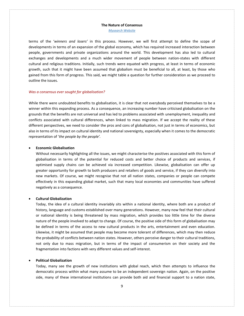*[Mysearch Website](http://www.mysearch.org.uk/index.html)*

terms of the '*winners and losers'* in this process. However, we will first attempt to define the scope of developments in terms of an expansion of the global economy, which has required increased interaction between people, governments and private organizations around the world. This development has also led to cultural exchanges and developments and a much wider movement of people between nation-states with different cultural and religious traditions. Initially, such trends were equated with progress, at least in terms of economic growth, such that it might have been assumed that globalism must be beneficial to all, at least, by those who gained from this form of progress. This said, we might table a question for further consideration as we proceed to outline the issues.

## *Was a consensus ever sought for globalisation?*

While there were undoubted benefits to globalisation, it is clear that not everybody perceived themselves to be a winner within this expanding process. As a consequence, an increasing number have criticised globalisation on the grounds that the benefits are not universal and has led to problems associated with unemployment, inequality and conflicts associated with cultural differences, when linked to mass migration. If we accept the reality of these different perspectives, we need to consider the pros and cons of globalisation, not just in terms of economics, but also in terms of its impact on cultural identity and national sovereignty, especially when it comes to the democratic representation of '*the people by the people'.*

## • **Economic Globalisation**

Without necessarily highlighting all the issues, we might characterise the positives associated with this form of globalisation in terms of the potential for reduced costs and better choice of products and services, if optimised supply chains can be achieved via increased competition. Likewise, globalisation can offer up greater opportunity for growth to both producers and retailers of goods and service, if they can diversify into new markets. Of course, we might recognise that not all nation states, companies or people can compete effectively in this expanding global market, such that many local economies and communities have suffered negatively as a consequence.

## • **Cultural Globalization**

Today, the idea of a cultural identity invariably sits within a national identity, where both are a product of history, language and customs established over many generations. However, many now feel that their cultural or national identity is being threatened by mass migration, which provides too little time for the diverse nature of the people involved to adapt to change. Of course, the positive side of this form of globalisation may be defined in terms of the access to new cultural products in the arts, entertainment and even education. Likewise, it might be assumed that people may become more tolerant of differences, which may then reduce the probability of conflicts between nation states. However, others perceive danger to their cultural traditions, not only due to mass migration, but in terms of the impact of consumerism on their society and the fragmentation into factions with very different values and self-interest.

## • **Political Globalization**

Today, many see the growth of new institutions with global reach, which then attempts to influence the democratic process within what many assume to be an independent sovereign nation. Again, on the positive side, many of these international institutions can provide both aid and financial support to a nation state,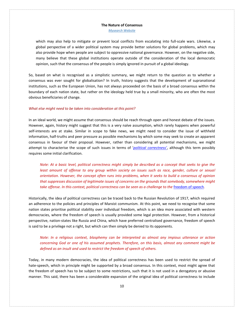*[Mysearch Website](http://www.mysearch.org.uk/index.html)*

which may also help to mitigate or prevent local conflicts from escalating into full-scale wars. Likewise, a global perspective of a wider political system may provide better solutions for global problems, which may also provide hope when people are subject to oppressive national governance. However, on the negative side, many believe that these global institutions operate outside of the consideration of the local democratic opinion, such that the consensus of the people is simply ignored in pursuit of a global ideology.

So, based on what is recognised as a simplistic summary, we might return to the question as to whether a consensus was ever sought for globalisation? In truth, history suggests that the development of supranational institutions, such as the European Union, has not always proceeded on the basis of a broad consensus within the boundary of each nation state, but rather on the ideology held true by a small minority, who are often the most obvious beneficiaries of change.

### *What else might need to be taken into consideration at this point?*

In an ideal world, we might assume that consensus should be reach through open and honest debate of the issues. However, again, history might suggest that this is a very naïve assumption, which rarely happens when powerful self-interests are at stake. Similar in scope to fake news, we might need to consider the issue of withheld information, half-truths and peer pressure as possible mechanisms by which some may seek to create an apparent consensus in favour of their proposal. However, rather than considering all potential mechanisms, we might attempt to characterise the scope of such issues in terms of '*[political correctness'](https://en.wikipedia.org/wiki/Political_correctness)*, although this term possibly requires some initial clarification.

*Note: At a basic level, political correctness might simply be described as a concept that seeks to give the least amount of offense to any group within society on issues such as race, gender, culture or sexual orientation. However, the concept often runs into problems, when it seeks to build a consensus of opinion that suppresses discussion of legitimate issues of concerns on the grounds that somebody, somewhere might take offense. In this context, political correctness can be seen as a challenge to the [freedom of speech](http://www.mysearch.org.uk/website2/html/258.Freedom.html).* 

Historically, the idea of political correctness can be traced back to the Russian Revolution of 1917, which required an adherence to the policies and principles of Marxist communism. At this point, we need to recognise that some nation states prioritise political stability over individual freedom, which is an idea more associated with western democracies, where the freedom of speech is usually provided some legal protection. However, from a historical perspective, nation-states like Russia and China, which have preferred centralised governance, freedom of speech is said to be a privilege not a right, but which can then simply be denied to its opponents.

*Note: In a religious context, blasphemy can be interpreted as almost any impious utterance or action concerning God or one of his assumed prophets. Therefore, on this basis, almost any comment might be defined as an insult and used to restrict the freedom of speech of others.*

Today, in many modern democracies, the idea of political correctness has been used to restrict the spread of hate-speech, which in principle might be supported by a broad consensus. In this context, most might agree that the freedom of speech has to be subject to some restrictions, such that it is not used in a derogatory or abusive manner. This said, there has been a considerable expansion of the original idea of political correctness to include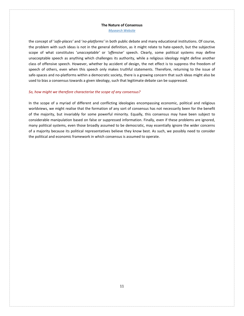*[Mysearch Website](http://www.mysearch.org.uk/index.html)*

the concept of '*safe-places'* and '*no-platforms'* in both public debate and many educational institutions. Of course, the problem with such ideas is not in the general definition, as it might relate to hate-speech, but the subjective scope of what constitutes '*unacceptable'* or *'offensive'* speech. Clearly, some political systems may define unacceptable speech as anything which challenges its authority, while a religious ideology might define another class of offensive speech. However, whether by accident of design, the net effect is to suppress the freedom of speech of others, even when this speech only makes truthful statements. Therefore, returning to the issue of safe-spaces and no-platforms within a democratic society, there is a growing concern that such ideas might also be used to bias a consensus towards a given ideology, such that legitimate debate can be suppressed.

## *So, how might we therefore characterise the scope of any consensus?*

In the scope of a myriad of different and conflicting ideologies encompassing economic, political and religious worldviews, we might realise that the formation of any sort of consensus has not necessarily been for the benefit of the majority, but invariably for some powerful minority. Equally, this consensus may have been subject to considerable manipulation based on false or suppressed information. Finally, even if these problems are ignored, many political systems, even those broadly assumed to be democratic, may essentially ignore the wider concerns of a majority because its political representatives believe they know best. As such, we possibly need to consider the political and economic framework in which consensus is assumed to operate.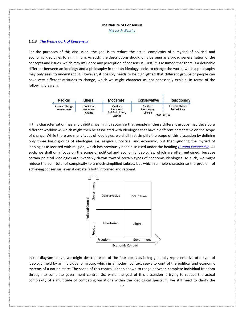*[Mysearch Website](http://www.mysearch.org.uk/index.html)*

## <span id="page-11-1"></span><span id="page-11-0"></span>**1.1.3** *[The Framework of Consensus](http://www.mysearch.org.uk/website2/html/265.Framework.html)*

For the purposes of this discussion, the goal is to reduce the actual complexity of a myriad of political and economic ideologies to a minimum. As such, the descriptions should only be seen as a broad generalisation of the concepts and issues, which may influence any perception of consensus. First, it is assumed that there is a definable different between an ideology and a philosophy in that an ideology seeks to change the world, while a philosophy may only seek to understand it. However, it possibly needs to be highlighted that different groups of people can have very different attitudes to change, which we might characterise, not necessarily explain, in terms of the following diagram.



If this characterisation has any validity, we might recognise that people in these different groups may develop a different worldview, which might then be associated with ideologies that have a different perspective on the scope of change. While there are many types of ideologies, we shall first simplify the scope of this discussion by defining only three basic groups of ideologies, i.e. religious, political and economic, but then ignoring the myriad of ideologies associated with religion, which has previously been discussed under the heading *[Human Perspective](file:///C:/Users/Keith/Desktop/My%20Files/My_Webs/0_Sites/0-New%20Site/1-Development/19-05-26/website2/html/246.Beliefs.html)*. As such, we shall only focus on the scope of political and economic ideologies, which are often entwined, because certain political ideologies are invariably drawn toward certain types of economic ideologies. As such, we might reduce the sum total of complexity to a much-simplified subset, but which still help characterise the problem of achieving consensus, even if debate is both informed and rational.



In the diagram above, we might describe each of the four boxes as being generally representative of a type of ideology, held by an individual or group, which in a modern context seeks to control the political and economic systems of a nation-state. The scope of this control is then shown to range between complete individual freedom through to complete government control. So, while the goal of this discussion is trying to reduce the actual complexity of a multitude of competing variations within the ideological spectrum, we still need to clarify the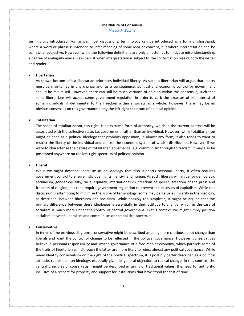*[Mysearch Website](http://www.mysearch.org.uk/index.html)*

terminology introduced. For, as per most discussions, terminology can be introduced as a form of shorthand, where a word or phrase is intended to infer meaning of some idea or concept, but where interpretation can be somewhat subjective. However, while the following definitions are only an attempt to mitigate misunderstanding, a degree of ambiguity may always persist when interpretation is subject to the confirmation bias of both the writer and reader.

## • **Libertarian**

As shown bottom left, a libertarian prioritises individual liberty. As such, a libertarian will argue that liberty must be maintained in any change and, as a consequence, political and economic control by government should be minimised. However, there can still be much variance of opinion within this consensus, such that some libertarians will accept some government regulation in order to curb the excesses of self-interest of some individuals, if detrimental to the freedom within a society as a whole. However, there may be no obvious consensus on this governance along the left-right spectrum of political opinion.

### • **Totalitarian**

The scope of totalitarianism, top right, is an extreme form of authority, which in the current context will be associated with the collective state, i.e. government, rather than an individual. However, while totalitarianism might be seen as a political ideology that prohibits opposition, in almost any form, it also tends to want to restrict the liberty of the individual and control the economic system of wealth distribution. However, if we were to characterise the nature of totalitarian governance, e.g. communism through to fascism, it may also be positioned anywhere on the left-right spectrum of political opinion.

## • **Liberal**

While we might describe liberalism as an ideology that also supports personal liberty, it often requires government control to ensure individual rights, i.e. civil and human. As such, liberals will argue for democracy, secularism, gender equality, racial equality, internationalism, freedom of speech, freedom of the press and freedom of religion, but then require government regulation to prevent the excesses of capitalism. While this discussion is attempting to minimise the scope of terminology, some may perceive a similarity in the ideology, as described, between liberalism and socialism. While possibly too simplistic, it might be argued that the primary difference between these ideologies is essentially in their attitude to change, which in the case of socialism is much more under the control of central government. In this context, we might simply position socialism between liberalism and communism on the political spectrum.

#### • **Conservative**

In terms of the previous diagrams, conservative might be described as being more cautious about change than liberals and want the control of change to be reflected in the political governance. However, conservatives believe in personal responsibility and limited governance of a free market economy, which parallels some of the traits of libertarianism, although the latter are more likely to reject almost any political governance. While many identify conservatism on the right of the political spectrum, it is possibly better described as a political attitude, rather than an ideology, especially given its general objection to radical change. In this context, the central principles of conservatism might be described in terms of traditional values, the need for authority, inclusive of a respect for property and support for institutions that have stood the test of time.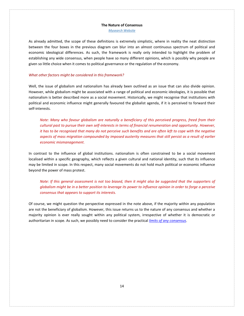*[Mysearch Website](http://www.mysearch.org.uk/index.html)*

As already admitted, the scope of these definitions is extremely simplistic, where in reality the neat distinction between the four boxes in the previous diagram can blur into an almost continuous spectrum of political and economic ideological differences. As such, the framework is really only intended to highlight the problem of establishing any wide consensus, when people have so many different opinions, which is possibly why people are given so little choice when it comes to political governance or the regulation of the economy.

## *What other factors might be considered in this framework?*

Well, the issue of globalism and nationalism has already been outlined as an issue that can also divide opinion. However, while globalism might be associated with a range of political and economic ideologies, it is possible that nationalism is better described more as a social movement. Historically, we might recognise that institutions with political and economic influence might generally favoured the globalist agenda, if it is perceived to forward their self-interests.

*Note: Many who favour globalism are naturally a beneficiary of this perceived progress, freed from their cultural past to pursue their own self-interests in terms of financial renumeration and opportunity. However, it has to be recognised that many do not perceive such benefits and are often left to cope with the negative aspects of mass migration compounded by imposed austerity measures that still persist as a result of earlier economic mismanagement.*

In contrast to the influence of global institutions. nationalism is often constrained to be a social movement localised within a specific geography, which reflects a given cultural and national identity, such that its influence may be limited in scope. In this respect, many social movements do not hold much political or economic influence beyond the power of mass protest.

*Note: If this general assessment is not too biased, then it might also be suggested that the supporters of globalism might be in a better position to leverage its power to influence opinion in order to forge a perceive consensus that appears to support its interests.* 

<span id="page-13-0"></span>Of course, we might question the perspective expressed in the note above, if the majority within any population are not the beneficiary of globalism. However, this issue returns us to the nature of any consensus and whether a majority opinion is ever really sought within any political system, irrespective of whether it is democratic or authoritarian in scope. As such, we possibly need to consider the practical *limits [of any consensus](#page-13-0)*.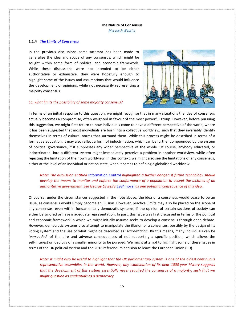*[Mysearch Website](http://www.mysearch.org.uk/index.html)*

## <span id="page-14-0"></span>**1.1.4** *[The Limits of Consensus](http://www.mysearch.org.uk/website2/html/266.Limits.html)*

In the previous discussions some attempt has been made to generalise the idea and scope of any consensus, which might be sought within some form of political and economic framework. While these discussions were not intended to be either authoritative or exhaustive, they were hopefully enough to highlight some of the issues and assumptions that would influence the development of opinions, while not necessarily representing a majority consensus.

## *So, what limits the possibility of some majority consensus?*



In terms of an initial response to this question, we might recognise that in many situations the idea of consensus actually becomes a compromise, often weighted in favour of the most powerful group. However, before pursuing this suggestion, we might first return to how individuals come to have a different perspective of the world, where it has been suggested that most individuals are born into a collective worldview, such that they invariably identify themselves in terms of cultural norms that surround them. While this process might be described in terms of a formative education, it may also reflect a form of indoctrination, which can be further compounded by the system of political governance, if it suppresses any wider perspective of the whole. Of course, anybody educated, or indoctrinated, into a different system might immediately perceive a problem in another worldview, while often rejecting the limitation of their own worldview. In this context, we might also see the limitations of any consensus, either at the level of an individual or nation state, when it comes to defining a globalised worldview.

*Note: The discussion entitled* [Information Control](http://www.mysearch.org.uk/website2/html/241.Control.html) *highlighted a further danger, if future technology should develop the means to monitor and enforce the conformance of a population to accept the dictates of an authoritative government. See George Orwell's* [1984 novel](https://en.wikipedia.org/wiki/Nineteen_Eighty-Four) *as one potential consequence of this idea.*

Of course, under the circumstances suggested in the note above, the idea of a consensus would cease to be an issue, as consensus would simply become an illusion. However, practical limits may also be placed on the scope of any consensus, even within fundamentally democratic systems, if the opinion of certain sections of society can either be ignored or have inadequate representation. In part, this issue was first discussed in terms of the political and economic framework in which we might initially assume seeks to develop a consensus through open debate. However, democratic systems also attempt to manipulate the illusion of a consensus, possibly by the design of its voting system and the use of what might be described as '*scare-tactics'*. By this means, many individuals can be '*persuaded*' of the dire and adverse consequences of not supporting a specific position, which allows the self-interest or ideology of a smaller minority to be pursued. We might attempt to highlight some of these issues in terms of the UK political system and the 2016 referendum decision to leave the European Union (EU).

*Note: It might also be useful to highlight that the UK parliamentary system is one of the oldest continuous representative assemblies in the world. However, any examination of its near 1000-year history suggests that the development of this system essentially never required the consensus of a majority, such that we might question its credentials as a democracy.*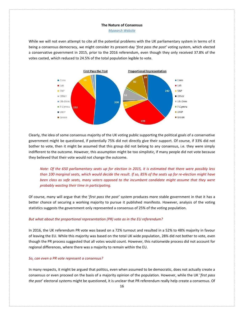*[Mysearch Website](http://www.mysearch.org.uk/index.html)*

While we will not even attempt to cite all the potential problems with the UK parliamentary system in terms of it being a consensus democracy, we might consider its present-day '*first pass the post'* voting system, which elected a conservative government in 2015, prior to the 2016 referendum, even though they only received 37.8% of the votes casted, which reduced to 24.5% of the total population legible to vote.



Clearly, the idea of some consensus majority of the UK voting public supporting the political goals of a conservative government might be questioned, if potentially 75% did not directly give their support. Of course, if 33% did not bother to vote, then it might be assumed that this group did not belong to any consensus, i.e. they were simply indifferent to the outcome. However, this assumption might be too simplistic, if many people did not vote because they believed that their vote would not change the outcome.

*Note: Of the 650 parliamentary seats up for election in 2015, it is estimated that there were possibly less than 100 marginal seats, which would decide the result. If so, 85% of the seats up for re-election might have been class as safe seats, many voters opposed to the incumbent candidate might assume that they were probably wasting their time in participating.* 

Of course, many will argue that the '*first pass the post'* system produces more stable government in that it has a better chance of securing a working majority to pursue it published manifesto. However, analysis of the voting statistics suggests the government only represented a consensus of 25% of the voting population.

### *But what about the proportional representation (PR) vote as in the EU referendum?*

In 2016, the UK referendum PR vote was based on a 72% turnout and resulted in a 52% to 48% majority in favour of leaving the EU. While this majority was based on the total UK wide population, 28% did not bother to vote, even though the PR process suggested that all votes would count. However, this nationwide process did not account for regional differences, where there was a majority to remain within the EU.

### *So, can even a PR vote represent a consensus?*

In many respects, it might be argued that politics, even when assumed to be democratic, does not actually create a consensus or even proceed on the basis of a majority opinion of the population. However, while the UK '*first pass the post*' electoral systems might be questioned, it is unclear that PR referendum really help create a consensus. Of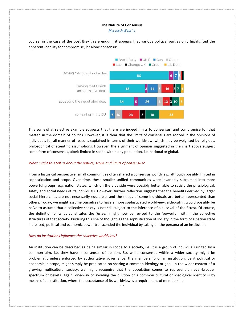*[Mysearch Website](http://www.mysearch.org.uk/index.html)*



course, in the case of the post Brexit referendum, it appears that various political parties only highlighted the apparent inability for compromise, let alone consensus.

This somewhat selective example suggests that there are indeed limits to consensus, and compromise for that matter, in the domain of politics. However, it is clear that the limits of consensus are rooted in the opinions of individuals for all manner of reasons explained in terms of their worldview, which may be weighted by religious, philosophical of scientific assumptions. However, the alignment of opinion suggested in the chart above suggest some form of consensus, albeit limited in scope within any population, i.e. national or global.

### *What might this tell us about the nature, scope and limits of consensus?*

From a historical perspective, small communities often shared a consensus worldview, although possibly limited in sophistication and scope. Over time, these smaller unified communities were invariably subsumed into more powerful groups, e.g. nation states, which on the plus side were possibly better able to satisfy the physiological, safety and social needs of its individuals. However, further reflection suggests that the benefits derived by larger social hierarchies are not necessarily equitable, and the needs of some individuals are better represented than others. Today, we might assume ourselves to have a more sophisticated worldview, although it would possibly be naïve to assume that a collective society is not still subject to the inference of a survival of the fittest. Of course, the definition of what constitutes the *'fittest*' might now be revised to the 'powerful' within the collective structures of that society. Pursuing this line of thought, as the sophistication of society in the form of a nation state increased, political and economic power transcended the individual by taking on the persona of an institution.

## *How do institutions influence the collective worldview?*

An institution can be described as being similar in scope to a society, i.e. it is a group of individuals united by a common aim, i.e. they have a consensus of opinion. So, while consensus within a wider society might be problematic unless enforced by authoritative governance, the membership of an institution, be it political or economic in scope, might simply be predicated on sharing a common ideology or goal. In the wider context of a growing multicultural society, we might recognise that the population comes to represent an ever-broader spectrum of beliefs. Again, one-way of avoiding the dilution of a common cultural or ideological identity is by means of an institution, where the acceptance of its worldview is a requirement of membership.